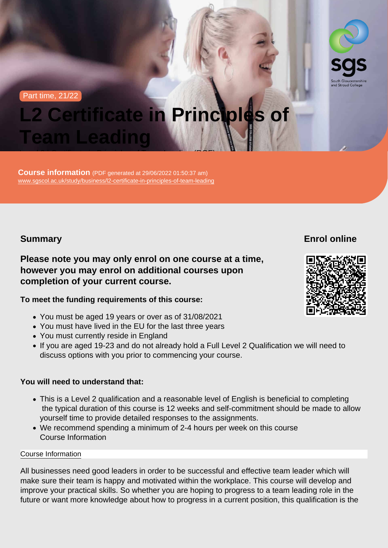Part time, 21/22

# L2 Certificate in Principles of Team Leading Level 2 | Certificate in Principles of Team Leading (RQF)

Course information (PDF generated at 29/06/2022 01:50:37 am) [www.sgscol.ac.uk/study/business/l2-certificate-in-principles-of-team-leading](https://www.sgscol.ac.uk/study/business/l2-certificate-in-principles-of-team-leading)

**Summary** 

Enrol online

Please note you may only enrol on one course at a time, however you may enrol on additional courses upon completion of your current course.

To meet the funding requirements of this course:

- You must be aged 19 years or over as of 31/08/2021
- You must have lived in the EU for the last three years
- You must currently reside in England
- If you are aged 19-23 and do not already hold a Full Level 2 Qualification we will need to discuss options with you prior to commencing your course.

You will need to understand that:

- This is a Level 2 qualification and a reasonable level of English is beneficial to completing the typical duration of this course is 12 weeks and self-commitment should be made to allow yourself time to provide detailed responses to the assignments.
- We recommend spending a minimum of 2-4 hours per week on this course Course Information

### Course Information

All businesses need good leaders in order to be successful and effective team leader which will make sure their team is happy and motivated within the workplace. This course will develop and improve your practical skills. So whether you are hoping to progress to a team leading role in the future or want more knowledge about how to progress in a current position, this qualification is the